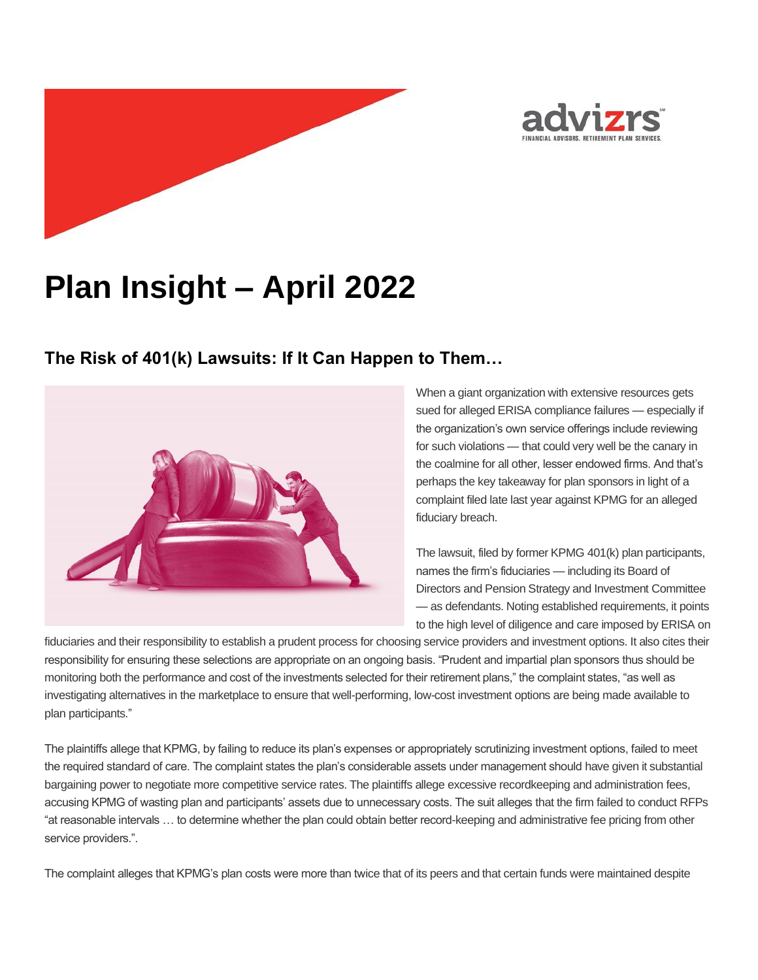

# **Plan Insight – April 2022**

## **The Risk of 401(k) Lawsuits: If It Can Happen to Them…**



When a giant organization with extensive resources gets sued for alleged ERISA compliance failures — especially if the organization's own service offerings include reviewing for such violations — that could very well be the canary in the coalmine for all other, lesser endowed firms. And that's perhaps the key takeaway for plan sponsors in light of a complaint filed late last year against KPMG for an alleged fiduciary breach.

The lawsuit, filed by former KPMG 401(k) plan participants, names the firm's fiduciaries — including its Board of Directors and Pension Strategy and Investment Committee — as defendants. Noting established requirements, it points to the high level of diligence and care imposed by ERISA on

fiduciaries and their responsibility to establish a prudent process for choosing service providers and investment options. It also cites their responsibility for ensuring these selections are appropriate on an ongoing basis. "Prudent and impartial plan sponsors thus should be monitoring both the performance and cost of the investments selected for their retirement plans," the complaint states, "as well as investigating alternatives in the marketplace to ensure that well-performing, low-cost investment options are being made available to plan participants."

The plaintiffs allege that KPMG, by failing to reduce its plan's expenses or appropriately scrutinizing investment options, failed to meet the required standard of care. The complaint states the plan's considerable assets under management should have given it substantial bargaining power to negotiate more competitive service rates. The plaintiffs allege excessive recordkeeping and administration fees, accusing KPMG of wasting plan and participants' assets due to unnecessary costs. The suit alleges that the firm failed to conduct RFPs "at reasonable intervals … to determine whether the plan could obtain better record-keeping and administrative fee pricing from other service providers.".

The complaint alleges that KPMG's plan costs were more than twice that of its peers and that certain funds were maintained despite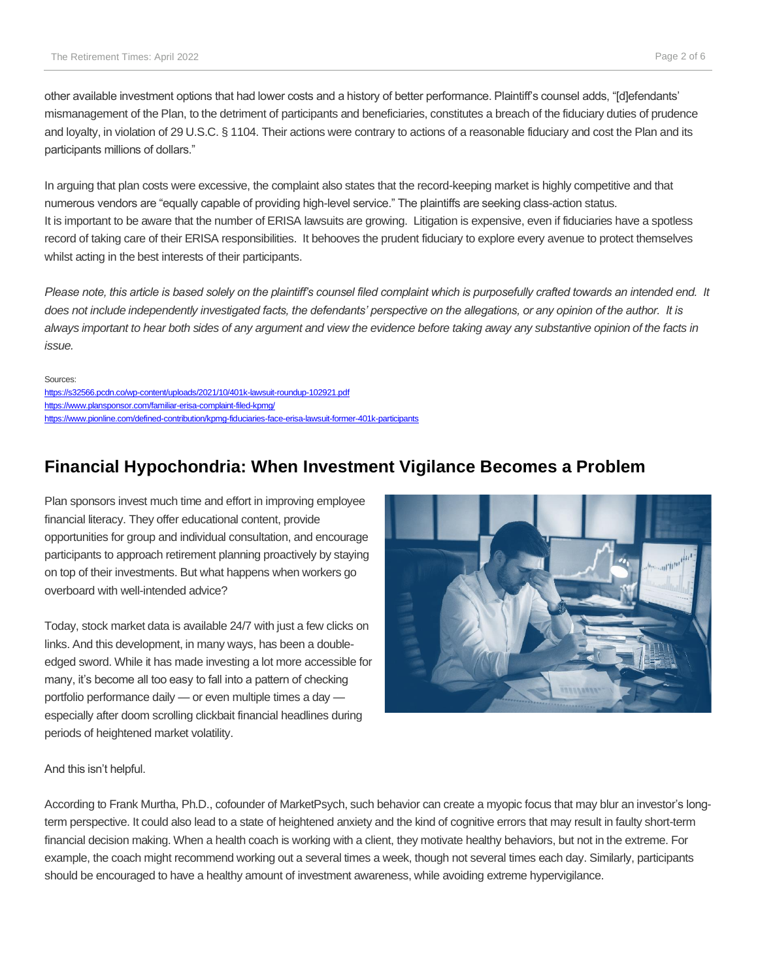other available investment options that had lower costs and a history of better performance. Plaintiff's counsel adds, "[d]efendants' mismanagement of the Plan, to the detriment of participants and beneficiaries, constitutes a breach of the fiduciary duties of prudence and loyalty, in violation of 29 U.S.C. § 1104. Their actions were contrary to actions of a reasonable fiduciary and cost the Plan and its participants millions of dollars."

In arguing that plan costs were excessive, the complaint also states that the record-keeping market is highly competitive and that numerous vendors are "equally capable of providing high-level service." The plaintiffs are seeking class-action status. It is important to be aware that the number of ERISA lawsuits are growing. Litigation is expensive, even if fiduciaries have a spotless record of taking care of their ERISA responsibilities. It behooves the prudent fiduciary to explore every avenue to protect themselves whilst acting in the best interests of their participants.

*Please note, this article is based solely on the plaintiff's counsel filed complaint which is purposefully crafted towards an intended end. It does not include independently investigated facts, the defendants' perspective on the allegations, or any opinion of the author. It is always important to hear both sides of any argument and view the evidence before taking away any substantive opinion of the facts in issue.*

Sources: <https://s32566.pcdn.co/wp-content/uploads/2021/10/401k-lawsuit-roundup-102921.pdf> <https://www.plansponsor.com/familiar-erisa-complaint-filed-kpmg/> <https://www.pionline.com/defined-contribution/kpmg-fiduciaries-face-erisa-lawsuit-former-401k-participants>

## **Financial Hypochondria: When Investment Vigilance Becomes a Problem**

Plan sponsors invest much time and effort in improving employee financial literacy. They offer educational content, provide opportunities for group and individual consultation, and encourage participants to approach retirement planning proactively by staying on top of their investments. But what happens when workers go overboard with well-intended advice?

Today, stock market data is available 24/7 with just a few clicks on links. And this development, in many ways, has been a doubleedged sword. While it has made investing a lot more accessible for many, it's become all too easy to fall into a pattern of checking portfolio performance daily — or even multiple times a day especially after doom scrolling clickbait financial headlines during periods of heightened market volatility.



And this isn't helpful.

According to Frank Murtha, Ph.D., cofounder of MarketPsych, such behavior can create a myopic focus that may blur an investor's longterm perspective. It could also lead to a state of heightened anxiety and the kind of cognitive errors that may result in faulty short-term financial decision making. When a health coach is working with a client, they motivate healthy behaviors, but not in the extreme. For example, the coach might recommend working out a several times a week, though not several times each day. Similarly, participants should be encouraged to have a healthy amount of investment awareness, while avoiding extreme hypervigilance.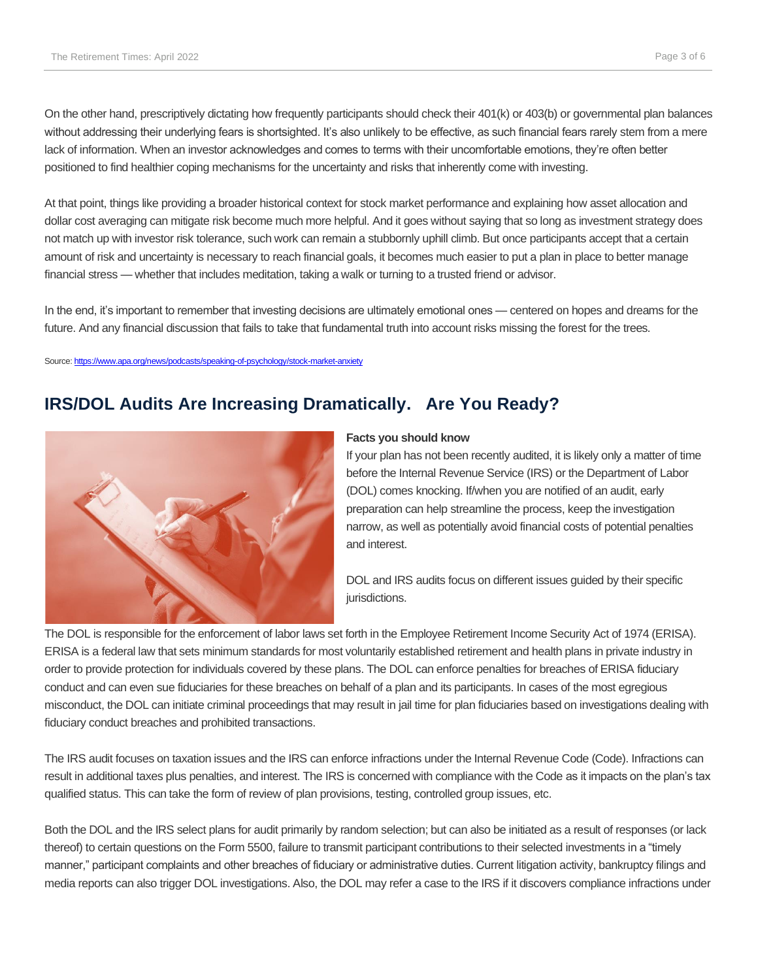On the other hand, prescriptively dictating how frequently participants should check their 401(k) or 403(b) or governmental plan balances without addressing their underlying fears is shortsighted. It's also unlikely to be effective, as such financial fears rarely stem from a mere lack of information. When an investor acknowledges and comes to terms with their uncomfortable emotions, they're often better positioned to find healthier coping mechanisms for the uncertainty and risks that inherently come with investing.

At that point, things like providing a broader historical context for stock market performance and explaining how asset allocation and dollar cost averaging can mitigate risk become much more helpful. And it goes without saying that so long as investment strategy does not match up with investor risk tolerance, such work can remain a stubbornly uphill climb. But once participants accept that a certain amount of risk and uncertainty is necessary to reach financial goals, it becomes much easier to put a plan in place to better manage financial stress — whether that includes meditation, taking a walk or turning to a trusted friend or advisor.

In the end, it's important to remember that investing decisions are ultimately emotional ones — centered on hopes and dreams for the future. And any financial discussion that fails to take that fundamental truth into account risks missing the forest for the trees.

Source[: https://www.apa.org/news/podcasts/speaking-of-psychology/stock-market-anxiety](https://www.apa.org/news/podcasts/speaking-of-psychology/stock-market-anxiety)

## **IRS/DOL Audits Are Increasing Dramatically. Are You Ready?**



#### **Facts you should know**

If your plan has not been recently audited, it is likely only a matter of time before the Internal Revenue Service (IRS) or the Department of Labor (DOL) comes knocking. If/when you are notified of an audit, early preparation can help streamline the process, keep the investigation narrow, as well as potentially avoid financial costs of potential penalties and interest.

DOL and IRS audits focus on different issues guided by their specific jurisdictions.

The DOL is responsible for the enforcement of labor laws set forth in the Employee Retirement Income Security Act of 1974 (ERISA). ERISA is a federal law that sets minimum standards for most voluntarily established retirement and health plans in private industry in order to provide protection for individuals covered by these plans. The DOL can enforce penalties for breaches of ERISA fiduciary conduct and can even sue fiduciaries for these breaches on behalf of a plan and its participants. In cases of the most egregious misconduct, the DOL can initiate criminal proceedings that may result in jail time for plan fiduciaries based on investigations dealing with fiduciary conduct breaches and prohibited transactions.

The IRS audit focuses on taxation issues and the IRS can enforce infractions under the Internal Revenue Code (Code). Infractions can result in additional taxes plus penalties, and interest. The IRS is concerned with compliance with the Code as it impacts on the plan's tax qualified status. This can take the form of review of plan provisions, testing, controlled group issues, etc.

Both the DOL and the IRS select plans for audit primarily by random selection; but can also be initiated as a result of responses (or lack thereof) to certain questions on the Form 5500, failure to transmit participant contributions to their selected investments in a "timely manner," participant complaints and other breaches of fiduciary or administrative duties. Current litigation activity, bankruptcy filings and media reports can also trigger DOL investigations. Also, the DOL may refer a case to the IRS if it discovers compliance infractions under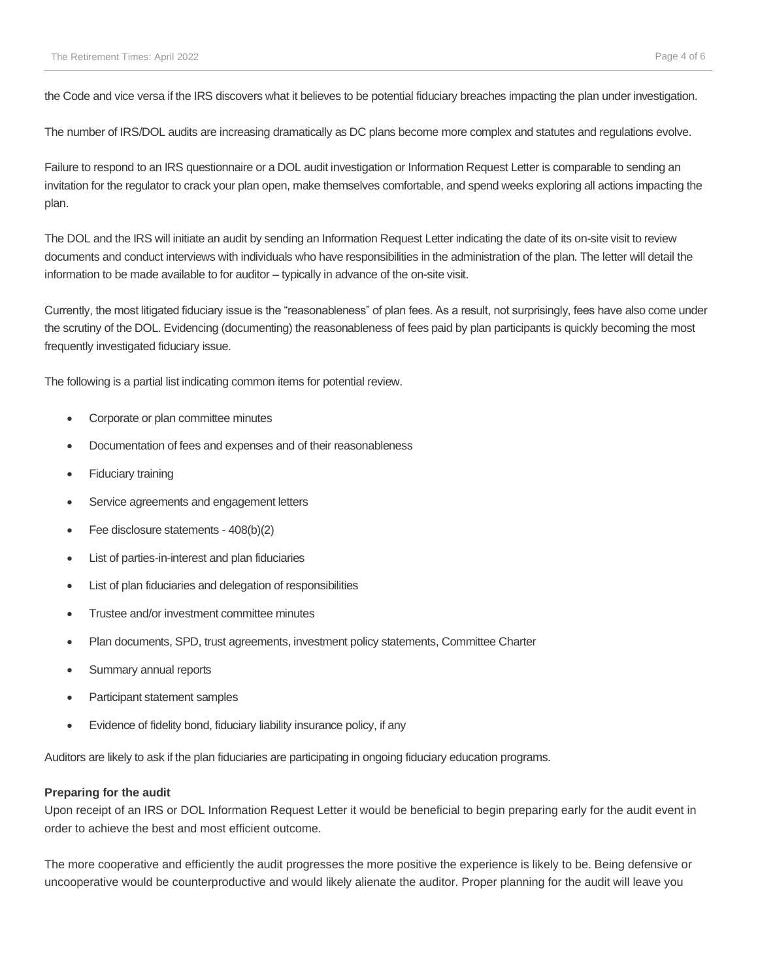the Code and vice versa if the IRS discovers what it believes to be potential fiduciary breaches impacting the plan under investigation.

The number of IRS/DOL audits are increasing dramatically as DC plans become more complex and statutes and regulations evolve.

Failure to respond to an IRS questionnaire or a DOL audit investigation or Information Request Letter is comparable to sending an invitation for the regulator to crack your plan open, make themselves comfortable, and spend weeks exploring all actions impacting the plan.

The DOL and the IRS will initiate an audit by sending an Information Request Letter indicating the date of its on-site visit to review documents and conduct interviews with individuals who have responsibilities in the administration of the plan. The letter will detail the information to be made available to for auditor – typically in advance of the on-site visit.

Currently, the most litigated fiduciary issue is the "reasonableness" of plan fees. As a result, not surprisingly, fees have also come under the scrutiny of the DOL. Evidencing (documenting) the reasonableness of fees paid by plan participants is quickly becoming the most frequently investigated fiduciary issue.

The following is a partial list indicating common items for potential review.

- Corporate or plan committee minutes
- Documentation of fees and expenses and of their reasonableness
- **Fiduciary training**
- Service agreements and engagement letters
- Fee disclosure statements 408(b)(2)
- List of parties-in-interest and plan fiduciaries
- List of plan fiduciaries and delegation of responsibilities
- Trustee and/or investment committee minutes
- Plan documents, SPD, trust agreements, investment policy statements, Committee Charter
- Summary annual reports
- Participant statement samples
- Evidence of fidelity bond, fiduciary liability insurance policy, if any

Auditors are likely to ask if the plan fiduciaries are participating in ongoing fiduciary education programs.

#### **Preparing for the audit**

Upon receipt of an IRS or DOL Information Request Letter it would be beneficial to begin preparing early for the audit event in order to achieve the best and most efficient outcome.

The more cooperative and efficiently the audit progresses the more positive the experience is likely to be. Being defensive or uncooperative would be counterproductive and would likely alienate the auditor. Proper planning for the audit will leave you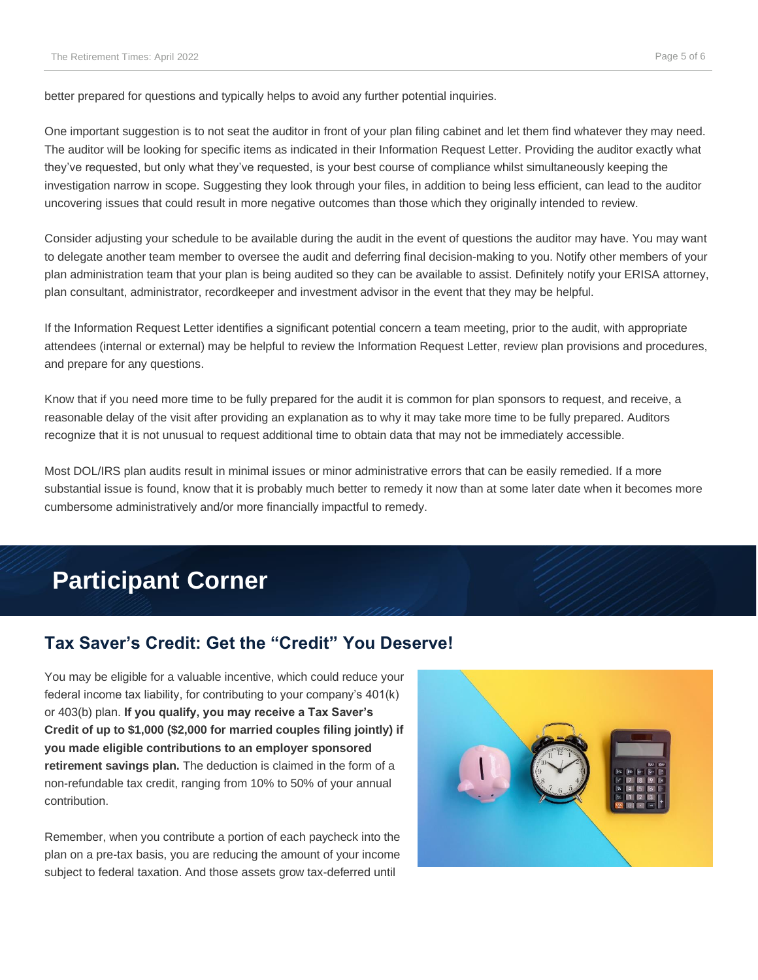better prepared for questions and typically helps to avoid any further potential inquiries.

One important suggestion is to not seat the auditor in front of your plan filing cabinet and let them find whatever they may need. The auditor will be looking for specific items as indicated in their Information Request Letter. Providing the auditor exactly what they've requested, but only what they've requested, is your best course of compliance whilst simultaneously keeping the investigation narrow in scope. Suggesting they look through your files, in addition to being less efficient, can lead to the auditor uncovering issues that could result in more negative outcomes than those which they originally intended to review.

Consider adjusting your schedule to be available during the audit in the event of questions the auditor may have. You may want to delegate another team member to oversee the audit and deferring final decision-making to you. Notify other members of your plan administration team that your plan is being audited so they can be available to assist. Definitely notify your ERISA attorney, plan consultant, administrator, recordkeeper and investment advisor in the event that they may be helpful.

If the Information Request Letter identifies a significant potential concern a team meeting, prior to the audit, with appropriate attendees (internal or external) may be helpful to review the Information Request Letter, review plan provisions and procedures, and prepare for any questions.

Know that if you need more time to be fully prepared for the audit it is common for plan sponsors to request, and receive, a reasonable delay of the visit after providing an explanation as to why it may take more time to be fully prepared. Auditors recognize that it is not unusual to request additional time to obtain data that may not be immediately accessible.

Most DOL/IRS plan audits result in minimal issues or minor administrative errors that can be easily remedied. If a more substantial issue is found, know that it is probably much better to remedy it now than at some later date when it becomes more cumbersome administratively and/or more financially impactful to remedy.

## **Participant Corner**

### **Tax Saver's Credit: Get the "Credit" You Deserve!**

You may be eligible for a valuable incentive, which could reduce your federal income tax liability, for contributing to your company's 401(k) or 403(b) plan. **If you qualify, you may receive a Tax Saver's Credit of up to \$1,000 (\$2,000 for married couples filing jointly) if you made eligible contributions to an employer sponsored retirement savings plan.** The deduction is claimed in the form of a non-refundable tax credit, ranging from 10% to 50% of your annual contribution.

Remember, when you contribute a portion of each paycheck into the plan on a pre-tax basis, you are reducing the amount of your income subject to federal taxation. And those assets grow tax-deferred until